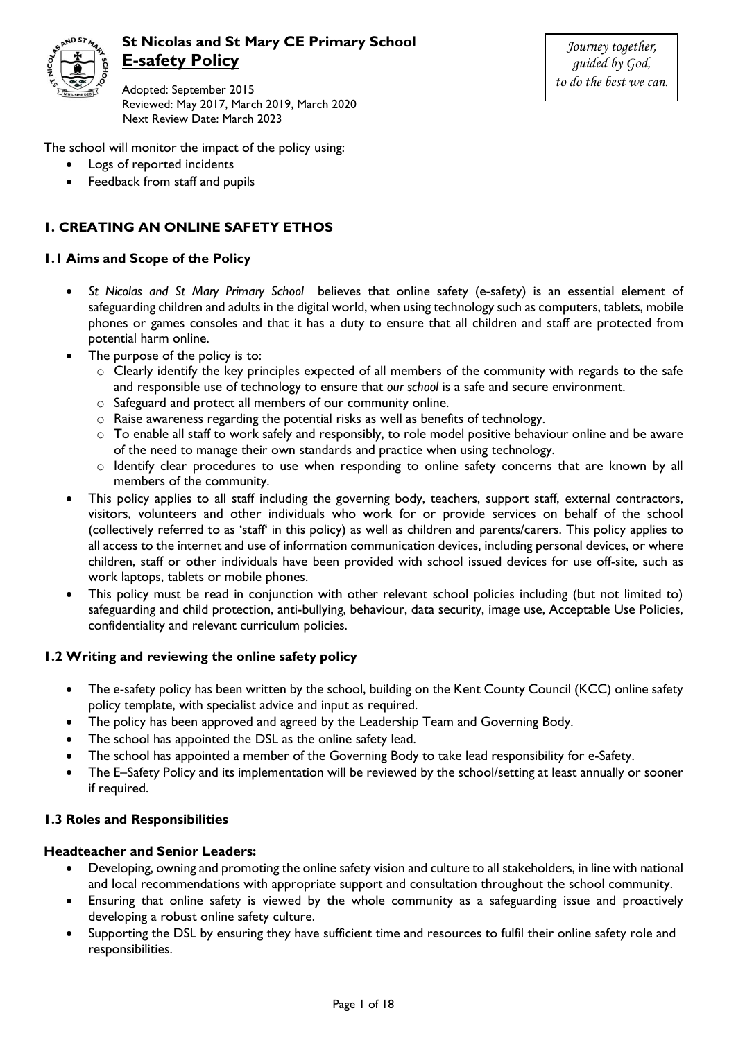

# **St Nicolas and St Mary CE Primary School E-safety Policy**

Adopted: September 2015 Reviewed: May 2017, March 2019, March 2020 Next Review Date: March 2023

*Journey together, guided by God, to do the best we can.*

The school will monitor the impact of the policy using:

- Logs of reported incidents
- Feedback from staff and pupils

## **1. CREATING AN ONLINE SAFETY ETHOS**

## **1.1 Aims and Scope of the Policy**

- *St Nicolas and St Mary Primary School* believes that online safety (e-safety) is an essential element of safeguarding children and adults in the digital world, when using technology such as computers, tablets, mobile phones or games consoles and that it has a duty to ensure that all children and staff are protected from potential harm online.
- The purpose of the policy is to:
	- o Clearly identify the key principles expected of all members of the community with regards to the safe and responsible use of technology to ensure that *our school* is a safe and secure environment.
	- o Safeguard and protect all members of our community online.
	- o Raise awareness regarding the potential risks as well as benefits of technology.
	- $\circ$  To enable all staff to work safely and responsibly, to role model positive behaviour online and be aware of the need to manage their own standards and practice when using technology.
	- o Identify clear procedures to use when responding to online safety concerns that are known by all members of the community.
- This policy applies to all staff including the governing body, teachers, support staff, external contractors, visitors, volunteers and other individuals who work for or provide services on behalf of the school (collectively referred to as 'staff' in this policy) as well as children and parents/carers. This policy applies to all access to the internet and use of information communication devices, including personal devices, or where children, staff or other individuals have been provided with school issued devices for use off-site, such as work laptops, tablets or mobile phones.
- This policy must be read in conjunction with other relevant school policies including (but not limited to) safeguarding and child protection, anti-bullying, behaviour, data security, image use, Acceptable Use Policies, confidentiality and relevant curriculum policies.

## **1.2 Writing and reviewing the online safety policy**

- The e-safety policy has been written by the school, building on the Kent County Council (KCC) online safety policy template, with specialist advice and input as required.
- The policy has been approved and agreed by the Leadership Team and Governing Body.
- The school has appointed the DSL as the online safety lead.
- The school has appointed a member of the Governing Body to take lead responsibility for e-Safety.
- The E–Safety Policy and its implementation will be reviewed by the school/setting at least annually or sooner if required.

#### **1.3 Roles and Responsibilities**

#### **Headteacher and Senior Leaders:**

- Developing, owning and promoting the online safety vision and culture to all stakeholders, in line with national and local recommendations with appropriate support and consultation throughout the school community.
- Ensuring that online safety is viewed by the whole community as a safeguarding issue and proactively developing a robust online safety culture.
- Supporting the DSL by ensuring they have sufficient time and resources to fulfil their online safety role and responsibilities.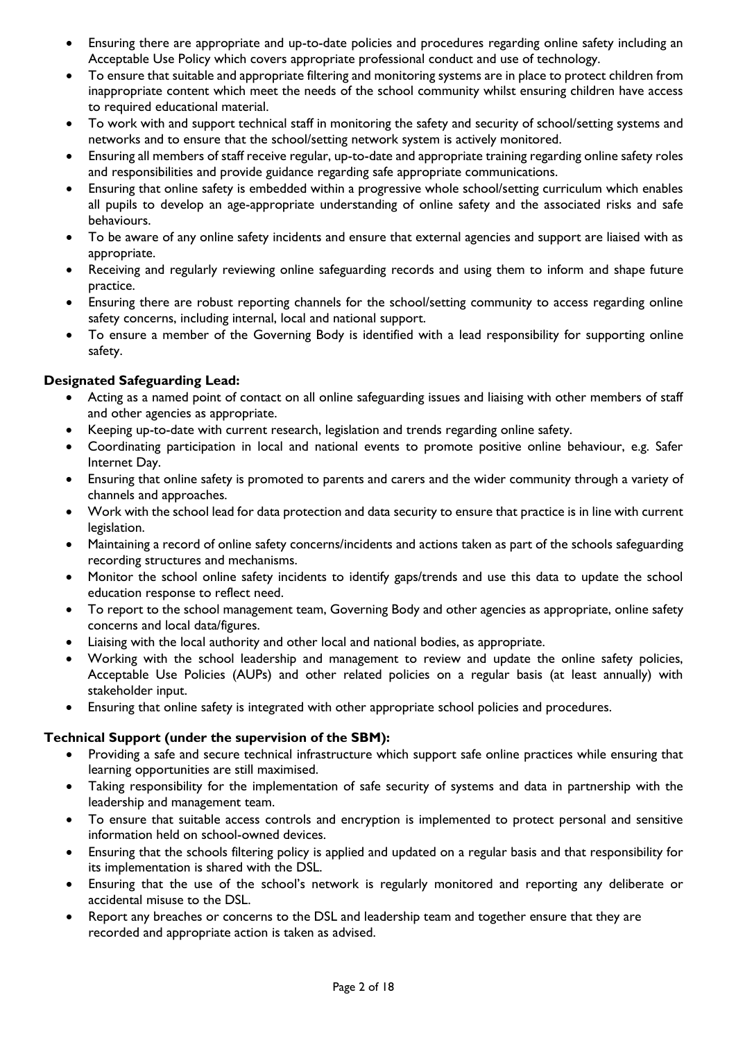- Ensuring there are appropriate and up-to-date policies and procedures regarding online safety including an Acceptable Use Policy which covers appropriate professional conduct and use of technology.
- To ensure that suitable and appropriate filtering and monitoring systems are in place to protect children from inappropriate content which meet the needs of the school community whilst ensuring children have access to required educational material.
- To work with and support technical staff in monitoring the safety and security of school/setting systems and networks and to ensure that the school/setting network system is actively monitored.
- Ensuring all members of staff receive regular, up-to-date and appropriate training regarding online safety roles and responsibilities and provide guidance regarding safe appropriate communications.
- Ensuring that online safety is embedded within a progressive whole school/setting curriculum which enables all pupils to develop an age-appropriate understanding of online safety and the associated risks and safe behaviours.
- To be aware of any online safety incidents and ensure that external agencies and support are liaised with as appropriate.
- Receiving and regularly reviewing online safeguarding records and using them to inform and shape future practice.
- Ensuring there are robust reporting channels for the school/setting community to access regarding online safety concerns, including internal, local and national support.
- To ensure a member of the Governing Body is identified with a lead responsibility for supporting online safety.

## **Designated Safeguarding Lead:**

- Acting as a named point of contact on all online safeguarding issues and liaising with other members of staff and other agencies as appropriate.
- Keeping up-to-date with current research, legislation and trends regarding online safety.
- Coordinating participation in local and national events to promote positive online behaviour, e.g. Safer Internet Day.
- Ensuring that online safety is promoted to parents and carers and the wider community through a variety of channels and approaches.
- Work with the school lead for data protection and data security to ensure that practice is in line with current legislation.
- Maintaining a record of online safety concerns/incidents and actions taken as part of the schools safeguarding recording structures and mechanisms.
- Monitor the school online safety incidents to identify gaps/trends and use this data to update the school education response to reflect need.
- To report to the school management team, Governing Body and other agencies as appropriate, online safety concerns and local data/figures.
- Liaising with the local authority and other local and national bodies, as appropriate.
- Working with the school leadership and management to review and update the online safety policies, Acceptable Use Policies (AUPs) and other related policies on a regular basis (at least annually) with stakeholder input.
- Ensuring that online safety is integrated with other appropriate school policies and procedures.

## **Technical Support (under the supervision of the SBM):**

- Providing a safe and secure technical infrastructure which support safe online practices while ensuring that learning opportunities are still maximised.
- Taking responsibility for the implementation of safe security of systems and data in partnership with the leadership and management team.
- To ensure that suitable access controls and encryption is implemented to protect personal and sensitive information held on school-owned devices.
- Ensuring that the schools filtering policy is applied and updated on a regular basis and that responsibility for its implementation is shared with the DSL.
- Ensuring that the use of the school's network is regularly monitored and reporting any deliberate or accidental misuse to the DSL.
- Report any breaches or concerns to the DSL and leadership team and together ensure that they are recorded and appropriate action is taken as advised.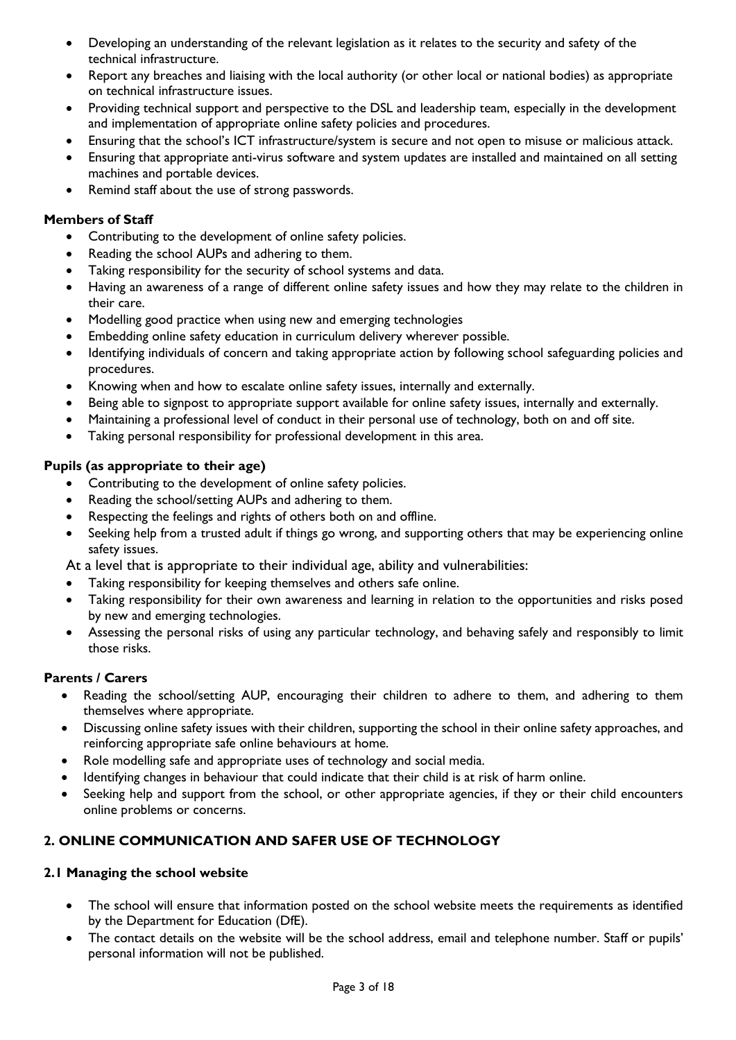- Developing an understanding of the relevant legislation as it relates to the security and safety of the technical infrastructure.
- Report any breaches and liaising with the local authority (or other local or national bodies) as appropriate on technical infrastructure issues.
- Providing technical support and perspective to the DSL and leadership team, especially in the development and implementation of appropriate online safety policies and procedures.
- Ensuring that the school's ICT infrastructure/system is secure and not open to misuse or malicious attack.
- Ensuring that appropriate anti-virus software and system updates are installed and maintained on all setting machines and portable devices.
- Remind staff about the use of strong passwords.

## **Members of Staff**

- Contributing to the development of online safety policies.
- Reading the school AUPs and adhering to them.
- Taking responsibility for the security of school systems and data.
- Having an awareness of a range of different online safety issues and how they may relate to the children in their care.
- Modelling good practice when using new and emerging technologies
- Embedding online safety education in curriculum delivery wherever possible.
- Identifying individuals of concern and taking appropriate action by following school safeguarding policies and procedures.
- Knowing when and how to escalate online safety issues, internally and externally.
- Being able to signpost to appropriate support available for online safety issues, internally and externally.
- Maintaining a professional level of conduct in their personal use of technology, both on and off site.
- Taking personal responsibility for professional development in this area.

## **Pupils (as appropriate to their age)**

- Contributing to the development of online safety policies.
- Reading the school/setting AUPs and adhering to them.
- Respecting the feelings and rights of others both on and offline.
- Seeking help from a trusted adult if things go wrong, and supporting others that may be experiencing online safety issues.

At a level that is appropriate to their individual age, ability and vulnerabilities:

- Taking responsibility for keeping themselves and others safe online.
- Taking responsibility for their own awareness and learning in relation to the opportunities and risks posed by new and emerging technologies.
- Assessing the personal risks of using any particular technology, and behaving safely and responsibly to limit those risks.

#### **Parents / Carers**

- Reading the school/setting AUP, encouraging their children to adhere to them, and adhering to them themselves where appropriate.
- Discussing online safety issues with their children, supporting the school in their online safety approaches, and reinforcing appropriate safe online behaviours at home.
- Role modelling safe and appropriate uses of technology and social media.
- Identifying changes in behaviour that could indicate that their child is at risk of harm online.
- Seeking help and support from the school, or other appropriate agencies, if they or their child encounters online problems or concerns.

## **2. ONLINE COMMUNICATION AND SAFER USE OF TECHNOLOGY**

#### **2.1 Managing the school website**

- The school will ensure that information posted on the school website meets the requirements as identified by the Department for Education (DfE).
- The contact details on the website will be the school address, email and telephone number. Staff or pupils' personal information will not be published.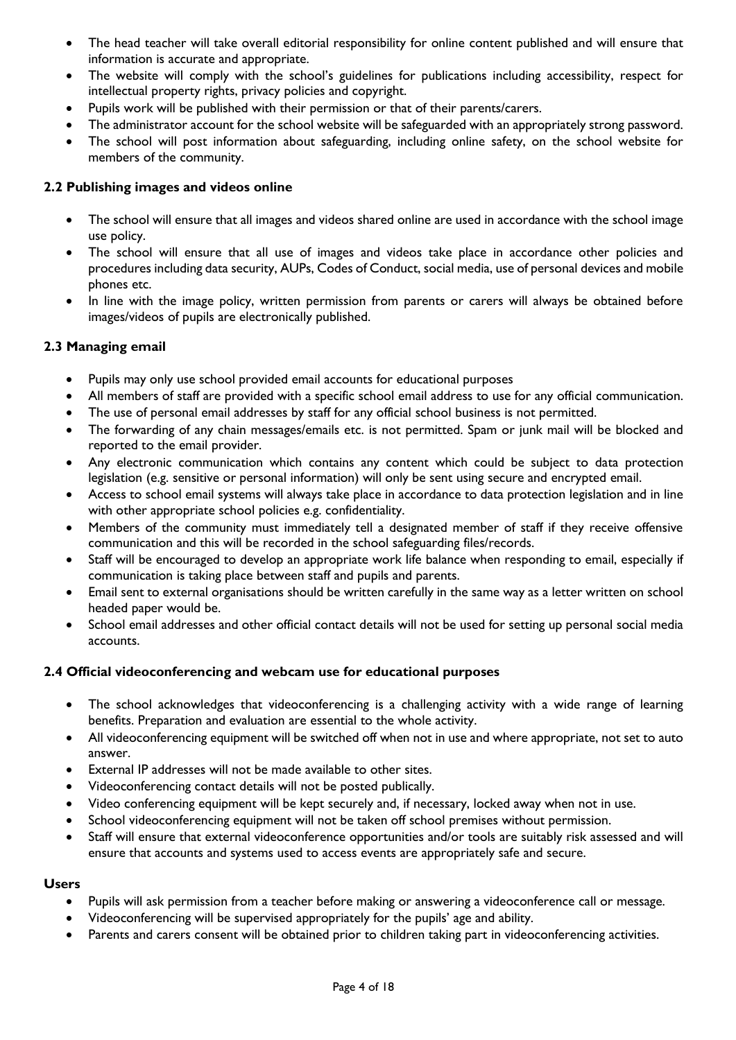- The head teacher will take overall editorial responsibility for online content published and will ensure that information is accurate and appropriate.
- The website will comply with the school's guidelines for publications including accessibility, respect for intellectual property rights, privacy policies and copyright.
- Pupils work will be published with their permission or that of their parents/carers.
- The administrator account for the school website will be safeguarded with an appropriately strong password.
- The school will post information about safeguarding, including online safety, on the school website for members of the community.

## **2.2 Publishing images and videos online**

- The school will ensure that all images and videos shared online are used in accordance with the school image use policy.
- The school will ensure that all use of images and videos take place in accordance other policies and procedures including data security, AUPs, Codes of Conduct, social media, use of personal devices and mobile phones etc.
- In line with the image policy, written permission from parents or carers will always be obtained before images/videos of pupils are electronically published.

## **2.3 Managing email**

- Pupils may only use school provided email accounts for educational purposes
- All members of staff are provided with a specific school email address to use for any official communication.
- The use of personal email addresses by staff for any official school business is not permitted.
- The forwarding of any chain messages/emails etc. is not permitted. Spam or junk mail will be blocked and reported to the email provider.
- Any electronic communication which contains any content which could be subject to data protection legislation (e.g. sensitive or personal information) will only be sent using secure and encrypted email.
- Access to school email systems will always take place in accordance to data protection legislation and in line with other appropriate school policies e.g. confidentiality.
- Members of the community must immediately tell a designated member of staff if they receive offensive communication and this will be recorded in the school safeguarding files/records.
- Staff will be encouraged to develop an appropriate work life balance when responding to email, especially if communication is taking place between staff and pupils and parents.
- Email sent to external organisations should be written carefully in the same way as a letter written on school headed paper would be.
- School email addresses and other official contact details will not be used for setting up personal social media accounts.

## **2.4 Official videoconferencing and webcam use for educational purposes**

- The school acknowledges that videoconferencing is a challenging activity with a wide range of learning benefits. Preparation and evaluation are essential to the whole activity.
- All videoconferencing equipment will be switched off when not in use and where appropriate, not set to auto answer.
- External IP addresses will not be made available to other sites.
- Videoconferencing contact details will not be posted publically.
- Video conferencing equipment will be kept securely and, if necessary, locked away when not in use.
- School videoconferencing equipment will not be taken off school premises without permission.
- Staff will ensure that external videoconference opportunities and/or tools are suitably risk assessed and will ensure that accounts and systems used to access events are appropriately safe and secure.

## **Users**

- Pupils will ask permission from a teacher before making or answering a videoconference call or message.
- Videoconferencing will be supervised appropriately for the pupils' age and ability.
- Parents and carers consent will be obtained prior to children taking part in videoconferencing activities.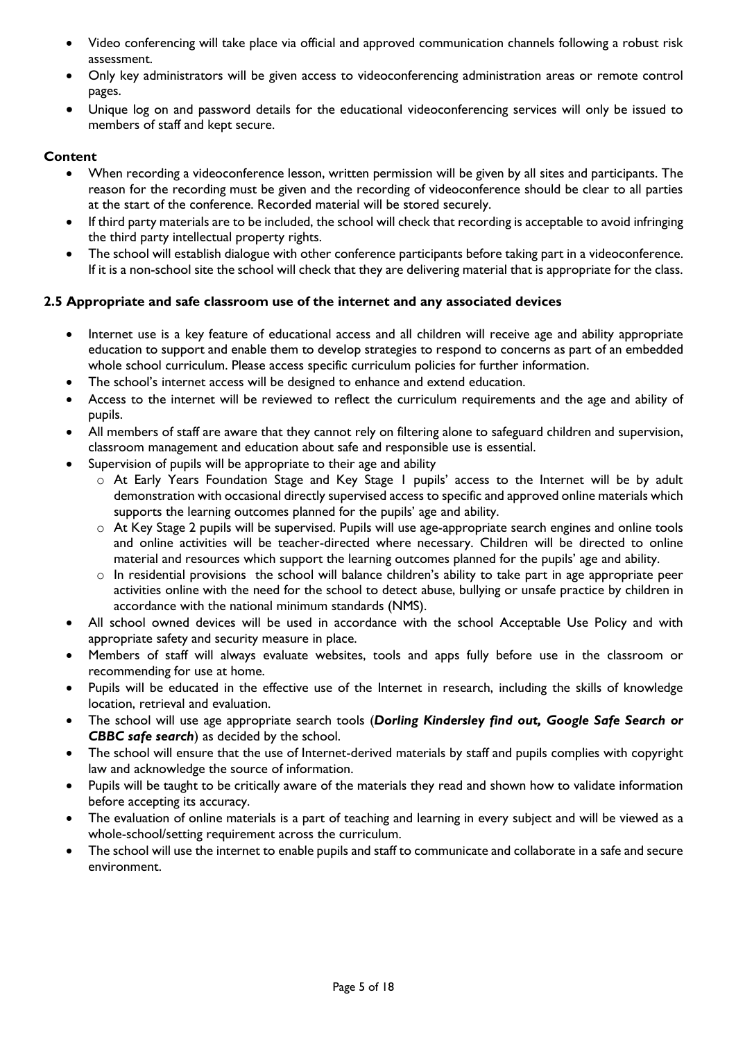- Video conferencing will take place via official and approved communication channels following a robust risk assessment.
- Only key administrators will be given access to videoconferencing administration areas or remote control pages.
- Unique log on and password details for the educational videoconferencing services will only be issued to members of staff and kept secure.

## **Content**

- When recording a videoconference lesson, written permission will be given by all sites and participants. The reason for the recording must be given and the recording of videoconference should be clear to all parties at the start of the conference. Recorded material will be stored securely.
- If third party materials are to be included, the school will check that recording is acceptable to avoid infringing the third party intellectual property rights.
- The school will establish dialogue with other conference participants before taking part in a videoconference. If it is a non-school site the school will check that they are delivering material that is appropriate for the class.

## **2.5 Appropriate and safe classroom use of the internet and any associated devices**

- Internet use is a key feature of educational access and all children will receive age and ability appropriate education to support and enable them to develop strategies to respond to concerns as part of an embedded whole school curriculum. Please access specific curriculum policies for further information.
- The school's internet access will be designed to enhance and extend education.
- Access to the internet will be reviewed to reflect the curriculum requirements and the age and ability of pupils.
- All members of staff are aware that they cannot rely on filtering alone to safeguard children and supervision, classroom management and education about safe and responsible use is essential.
- Supervision of pupils will be appropriate to their age and ability
	- o At Early Years Foundation Stage and Key Stage 1 pupils' access to the Internet will be by adult demonstration with occasional directly supervised access to specific and approved online materials which supports the learning outcomes planned for the pupils' age and ability.
	- o At Key Stage 2 pupils will be supervised. Pupils will use age-appropriate search engines and online tools and online activities will be teacher-directed where necessary. Children will be directed to online material and resources which support the learning outcomes planned for the pupils' age and ability.
	- o In residential provisions the school will balance children's ability to take part in age appropriate peer activities online with the need for the school to detect abuse, bullying or unsafe practice by children in accordance with the national minimum standards (NMS).
- All school owned devices will be used in accordance with the school Acceptable Use Policy and with appropriate safety and security measure in place.
- Members of staff will always evaluate websites, tools and apps fully before use in the classroom or recommending for use at home.
- Pupils will be educated in the effective use of the Internet in research, including the skills of knowledge location, retrieval and evaluation.
- The school will use age appropriate search tools (*Dorling Kindersley find out, Google Safe Search or CBBC safe search*) as decided by the school.
- The school will ensure that the use of Internet-derived materials by staff and pupils complies with copyright law and acknowledge the source of information.
- Pupils will be taught to be critically aware of the materials they read and shown how to validate information before accepting its accuracy.
- The evaluation of online materials is a part of teaching and learning in every subject and will be viewed as a whole-school/setting requirement across the curriculum.
- The school will use the internet to enable pupils and staff to communicate and collaborate in a safe and secure environment.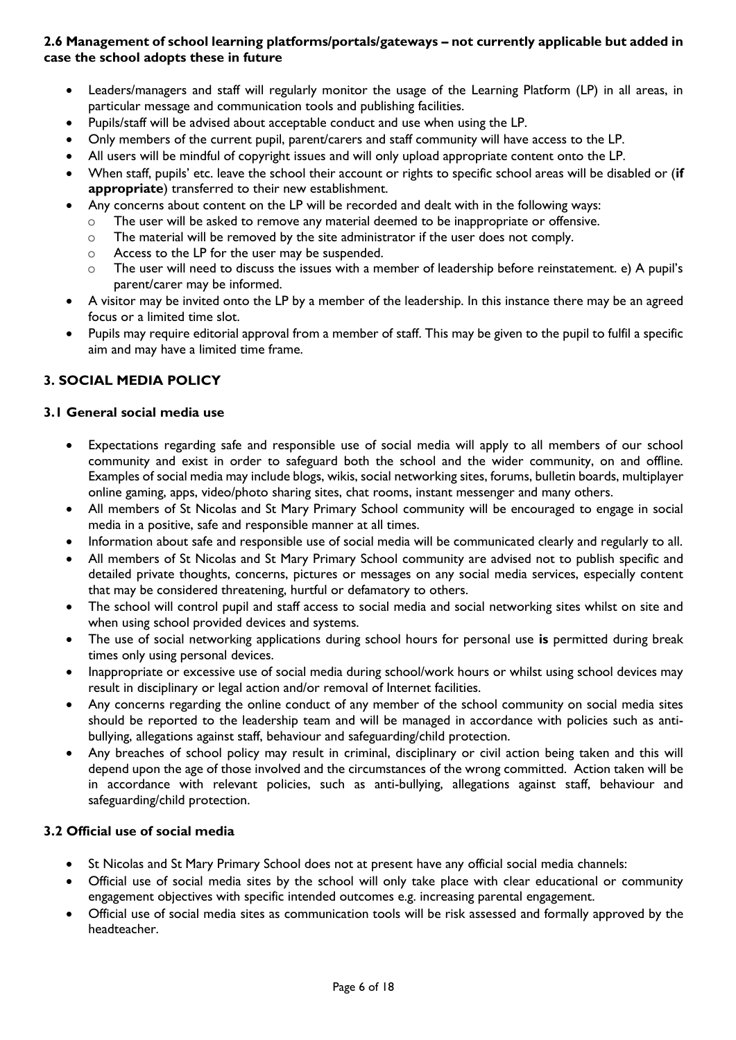## **2.6 Management of school learning platforms/portals/gateways – not currently applicable but added in case the school adopts these in future**

- Leaders/managers and staff will regularly monitor the usage of the Learning Platform (LP) in all areas, in particular message and communication tools and publishing facilities.
- Pupils/staff will be advised about acceptable conduct and use when using the LP.
- Only members of the current pupil, parent/carers and staff community will have access to the LP.
- All users will be mindful of copyright issues and will only upload appropriate content onto the LP.
- When staff, pupils' etc. leave the school their account or rights to specific school areas will be disabled or (**if appropriate**) transferred to their new establishment.
- Any concerns about content on the LP will be recorded and dealt with in the following ways:
	- o The user will be asked to remove any material deemed to be inappropriate or offensive.
	- o The material will be removed by the site administrator if the user does not comply.
	- o Access to the LP for the user may be suspended.
	- o The user will need to discuss the issues with a member of leadership before reinstatement. e) A pupil's parent/carer may be informed.
- A visitor may be invited onto the LP by a member of the leadership. In this instance there may be an agreed focus or a limited time slot.
- Pupils may require editorial approval from a member of staff. This may be given to the pupil to fulfil a specific aim and may have a limited time frame.

## **3. SOCIAL MEDIA POLICY**

## **3.1 General social media use**

- Expectations regarding safe and responsible use of social media will apply to all members of our school community and exist in order to safeguard both the school and the wider community, on and offline. Examples of social media may include blogs, wikis, social networking sites, forums, bulletin boards, multiplayer online gaming, apps, video/photo sharing sites, chat rooms, instant messenger and many others.
- All members of St Nicolas and St Mary Primary School community will be encouraged to engage in social media in a positive, safe and responsible manner at all times.
- Information about safe and responsible use of social media will be communicated clearly and regularly to all.
- All members of St Nicolas and St Mary Primary School community are advised not to publish specific and detailed private thoughts, concerns, pictures or messages on any social media services, especially content that may be considered threatening, hurtful or defamatory to others.
- The school will control pupil and staff access to social media and social networking sites whilst on site and when using school provided devices and systems.
- The use of social networking applications during school hours for personal use **is** permitted during break times only using personal devices.
- Inappropriate or excessive use of social media during school/work hours or whilst using school devices may result in disciplinary or legal action and/or removal of Internet facilities.
- Any concerns regarding the online conduct of any member of the school community on social media sites should be reported to the leadership team and will be managed in accordance with policies such as antibullying, allegations against staff, behaviour and safeguarding/child protection.
- Any breaches of school policy may result in criminal, disciplinary or civil action being taken and this will depend upon the age of those involved and the circumstances of the wrong committed. Action taken will be in accordance with relevant policies, such as anti-bullying, allegations against staff, behaviour and safeguarding/child protection.

## **3.2 Official use of social media**

- St Nicolas and St Mary Primary School does not at present have any official social media channels:
- Official use of social media sites by the school will only take place with clear educational or community engagement objectives with specific intended outcomes e.g. increasing parental engagement.
- Official use of social media sites as communication tools will be risk assessed and formally approved by the headteacher.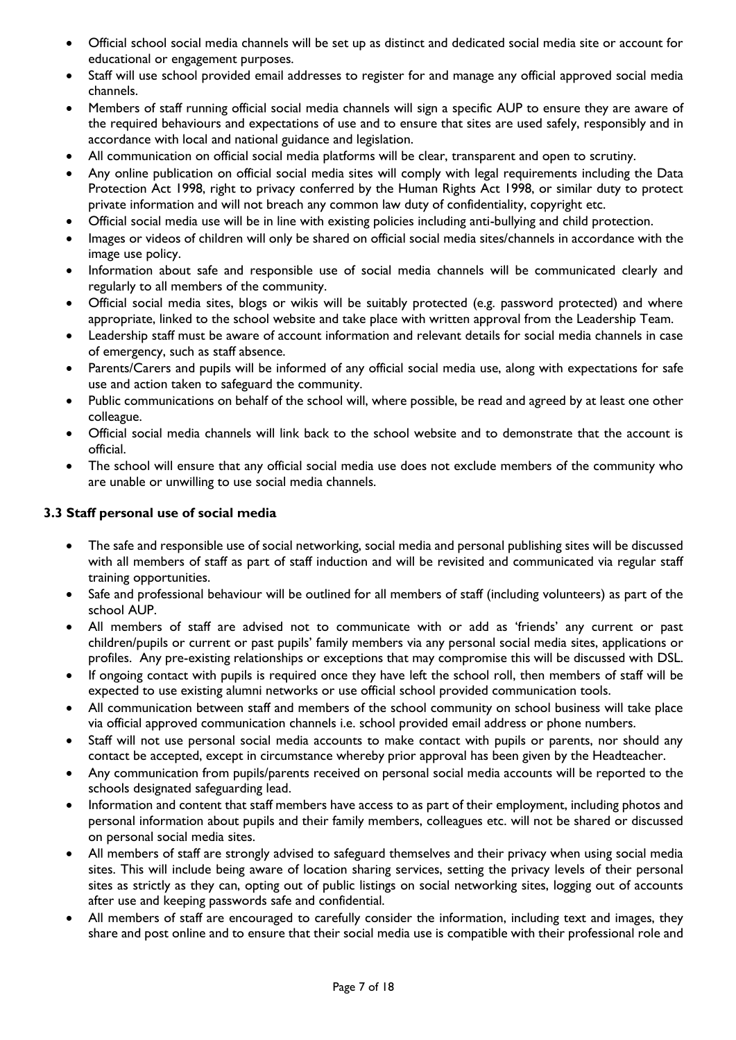- Official school social media channels will be set up as distinct and dedicated social media site or account for educational or engagement purposes.
- Staff will use school provided email addresses to register for and manage any official approved social media channels.
- Members of staff running official social media channels will sign a specific AUP to ensure they are aware of the required behaviours and expectations of use and to ensure that sites are used safely, responsibly and in accordance with local and national guidance and legislation.
- All communication on official social media platforms will be clear, transparent and open to scrutiny.
- Any online publication on official social media sites will comply with legal requirements including the Data Protection Act 1998, right to privacy conferred by the Human Rights Act 1998, or similar duty to protect private information and will not breach any common law duty of confidentiality, copyright etc.
- Official social media use will be in line with existing policies including anti-bullying and child protection.
- Images or videos of children will only be shared on official social media sites/channels in accordance with the image use policy.
- Information about safe and responsible use of social media channels will be communicated clearly and regularly to all members of the community.
- Official social media sites, blogs or wikis will be suitably protected (e.g. password protected) and where appropriate, linked to the school website and take place with written approval from the Leadership Team.
- Leadership staff must be aware of account information and relevant details for social media channels in case of emergency, such as staff absence.
- Parents/Carers and pupils will be informed of any official social media use, along with expectations for safe use and action taken to safeguard the community.
- Public communications on behalf of the school will, where possible, be read and agreed by at least one other colleague.
- Official social media channels will link back to the school website and to demonstrate that the account is official.
- The school will ensure that any official social media use does not exclude members of the community who are unable or unwilling to use social media channels.

## **3.3 Staff personal use of social media**

- The safe and responsible use of social networking, social media and personal publishing sites will be discussed with all members of staff as part of staff induction and will be revisited and communicated via regular staff training opportunities.
- Safe and professional behaviour will be outlined for all members of staff (including volunteers) as part of the school AUP.
- All members of staff are advised not to communicate with or add as 'friends' any current or past children/pupils or current or past pupils' family members via any personal social media sites, applications or profiles. Any pre-existing relationships or exceptions that may compromise this will be discussed with DSL.
- If ongoing contact with pupils is required once they have left the school roll, then members of staff will be expected to use existing alumni networks or use official school provided communication tools.
- All communication between staff and members of the school community on school business will take place via official approved communication channels i.e. school provided email address or phone numbers.
- Staff will not use personal social media accounts to make contact with pupils or parents, nor should any contact be accepted, except in circumstance whereby prior approval has been given by the Headteacher.
- Any communication from pupils/parents received on personal social media accounts will be reported to the schools designated safeguarding lead.
- Information and content that staff members have access to as part of their employment, including photos and personal information about pupils and their family members, colleagues etc. will not be shared or discussed on personal social media sites.
- All members of staff are strongly advised to safeguard themselves and their privacy when using social media sites. This will include being aware of location sharing services, setting the privacy levels of their personal sites as strictly as they can, opting out of public listings on social networking sites, logging out of accounts after use and keeping passwords safe and confidential.
- All members of staff are encouraged to carefully consider the information, including text and images, they share and post online and to ensure that their social media use is compatible with their professional role and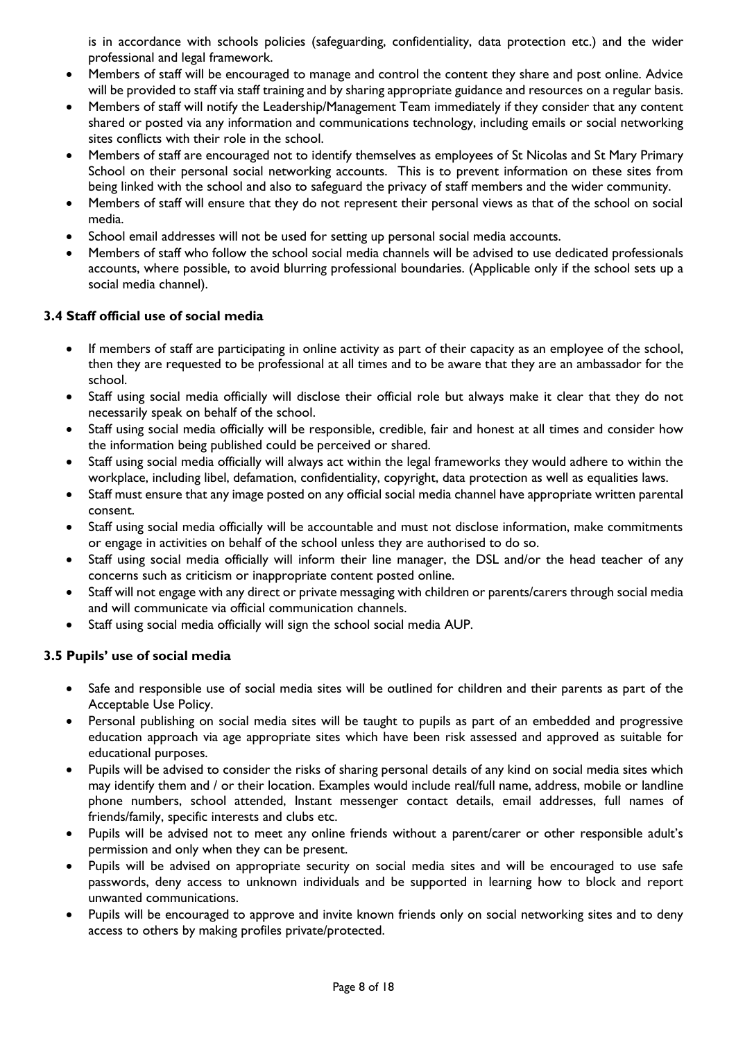is in accordance with schools policies (safeguarding, confidentiality, data protection etc.) and the wider professional and legal framework.

- Members of staff will be encouraged to manage and control the content they share and post online. Advice will be provided to staff via staff training and by sharing appropriate guidance and resources on a regular basis.
- Members of staff will notify the Leadership/Management Team immediately if they consider that any content shared or posted via any information and communications technology, including emails or social networking sites conflicts with their role in the school.
- Members of staff are encouraged not to identify themselves as employees of St Nicolas and St Mary Primary School on their personal social networking accounts. This is to prevent information on these sites from being linked with the school and also to safeguard the privacy of staff members and the wider community.
- Members of staff will ensure that they do not represent their personal views as that of the school on social media.
- School email addresses will not be used for setting up personal social media accounts.
- Members of staff who follow the school social media channels will be advised to use dedicated professionals accounts, where possible, to avoid blurring professional boundaries. (Applicable only if the school sets up a social media channel).

## **3.4 Staff official use of social media**

- If members of staff are participating in online activity as part of their capacity as an employee of the school, then they are requested to be professional at all times and to be aware that they are an ambassador for the school.
- Staff using social media officially will disclose their official role but always make it clear that they do not necessarily speak on behalf of the school.
- Staff using social media officially will be responsible, credible, fair and honest at all times and consider how the information being published could be perceived or shared.
- Staff using social media officially will always act within the legal frameworks they would adhere to within the workplace, including libel, defamation, confidentiality, copyright, data protection as well as equalities laws.
- Staff must ensure that any image posted on any official social media channel have appropriate written parental consent.
- Staff using social media officially will be accountable and must not disclose information, make commitments or engage in activities on behalf of the school unless they are authorised to do so.
- Staff using social media officially will inform their line manager, the DSL and/or the head teacher of any concerns such as criticism or inappropriate content posted online.
- Staff will not engage with any direct or private messaging with children or parents/carers through social media and will communicate via official communication channels.
- Staff using social media officially will sign the school social media AUP.

## **3.5 Pupils' use of social media**

- Safe and responsible use of social media sites will be outlined for children and their parents as part of the Acceptable Use Policy.
- Personal publishing on social media sites will be taught to pupils as part of an embedded and progressive education approach via age appropriate sites which have been risk assessed and approved as suitable for educational purposes.
- Pupils will be advised to consider the risks of sharing personal details of any kind on social media sites which may identify them and / or their location. Examples would include real/full name, address, mobile or landline phone numbers, school attended, Instant messenger contact details, email addresses, full names of friends/family, specific interests and clubs etc.
- Pupils will be advised not to meet any online friends without a parent/carer or other responsible adult's permission and only when they can be present.
- Pupils will be advised on appropriate security on social media sites and will be encouraged to use safe passwords, deny access to unknown individuals and be supported in learning how to block and report unwanted communications.
- Pupils will be encouraged to approve and invite known friends only on social networking sites and to deny access to others by making profiles private/protected.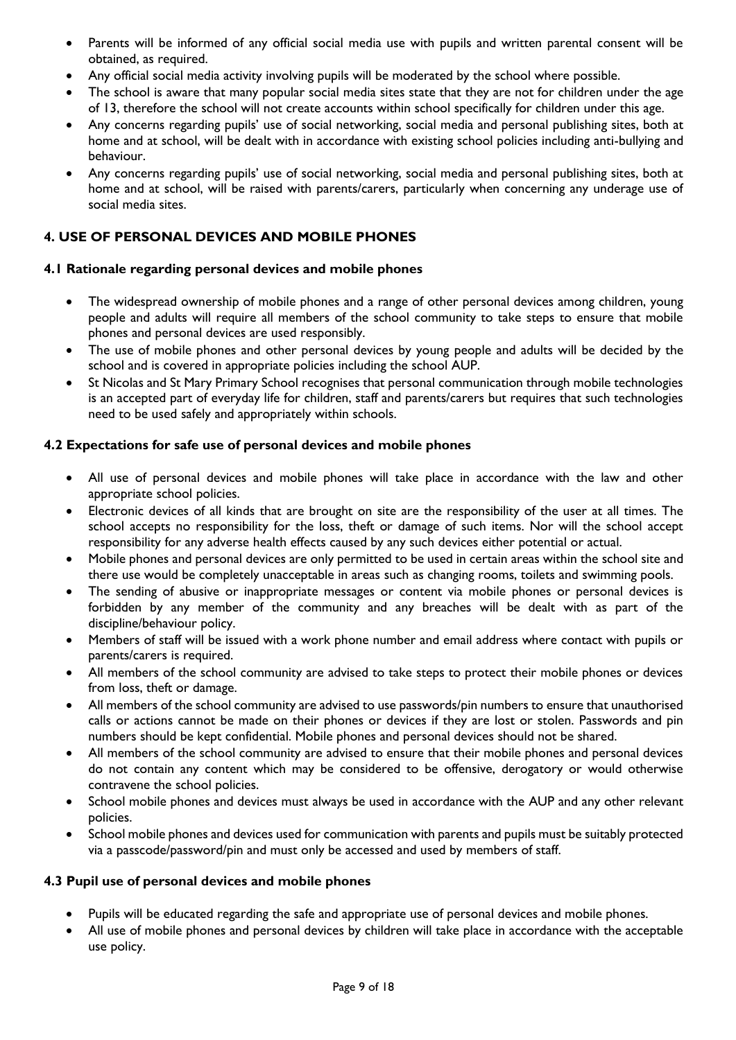- Parents will be informed of any official social media use with pupils and written parental consent will be obtained, as required.
- Any official social media activity involving pupils will be moderated by the school where possible.
- The school is aware that many popular social media sites state that they are not for children under the age of 13, therefore the school will not create accounts within school specifically for children under this age.
- Any concerns regarding pupils' use of social networking, social media and personal publishing sites, both at home and at school, will be dealt with in accordance with existing school policies including anti-bullying and behaviour.
- Any concerns regarding pupils' use of social networking, social media and personal publishing sites, both at home and at school, will be raised with parents/carers, particularly when concerning any underage use of social media sites.

## **4. USE OF PERSONAL DEVICES AND MOBILE PHONES**

## **4.1 Rationale regarding personal devices and mobile phones**

- The widespread ownership of mobile phones and a range of other personal devices among children, young people and adults will require all members of the school community to take steps to ensure that mobile phones and personal devices are used responsibly.
- The use of mobile phones and other personal devices by young people and adults will be decided by the school and is covered in appropriate policies including the school AUP.
- St Nicolas and St Mary Primary School recognises that personal communication through mobile technologies is an accepted part of everyday life for children, staff and parents/carers but requires that such technologies need to be used safely and appropriately within schools.

#### **4.2 Expectations for safe use of personal devices and mobile phones**

- All use of personal devices and mobile phones will take place in accordance with the law and other appropriate school policies.
- Electronic devices of all kinds that are brought on site are the responsibility of the user at all times. The school accepts no responsibility for the loss, theft or damage of such items. Nor will the school accept responsibility for any adverse health effects caused by any such devices either potential or actual.
- Mobile phones and personal devices are only permitted to be used in certain areas within the school site and there use would be completely unacceptable in areas such as changing rooms, toilets and swimming pools.
- The sending of abusive or inappropriate messages or content via mobile phones or personal devices is forbidden by any member of the community and any breaches will be dealt with as part of the discipline/behaviour policy.
- Members of staff will be issued with a work phone number and email address where contact with pupils or parents/carers is required.
- All members of the school community are advised to take steps to protect their mobile phones or devices from loss, theft or damage.
- All members of the school community are advised to use passwords/pin numbers to ensure that unauthorised calls or actions cannot be made on their phones or devices if they are lost or stolen. Passwords and pin numbers should be kept confidential. Mobile phones and personal devices should not be shared.
- All members of the school community are advised to ensure that their mobile phones and personal devices do not contain any content which may be considered to be offensive, derogatory or would otherwise contravene the school policies.
- School mobile phones and devices must always be used in accordance with the AUP and any other relevant policies.
- School mobile phones and devices used for communication with parents and pupils must be suitably protected via a passcode/password/pin and must only be accessed and used by members of staff.

#### **4.3 Pupil use of personal devices and mobile phones**

- Pupils will be educated regarding the safe and appropriate use of personal devices and mobile phones.
- All use of mobile phones and personal devices by children will take place in accordance with the acceptable use policy.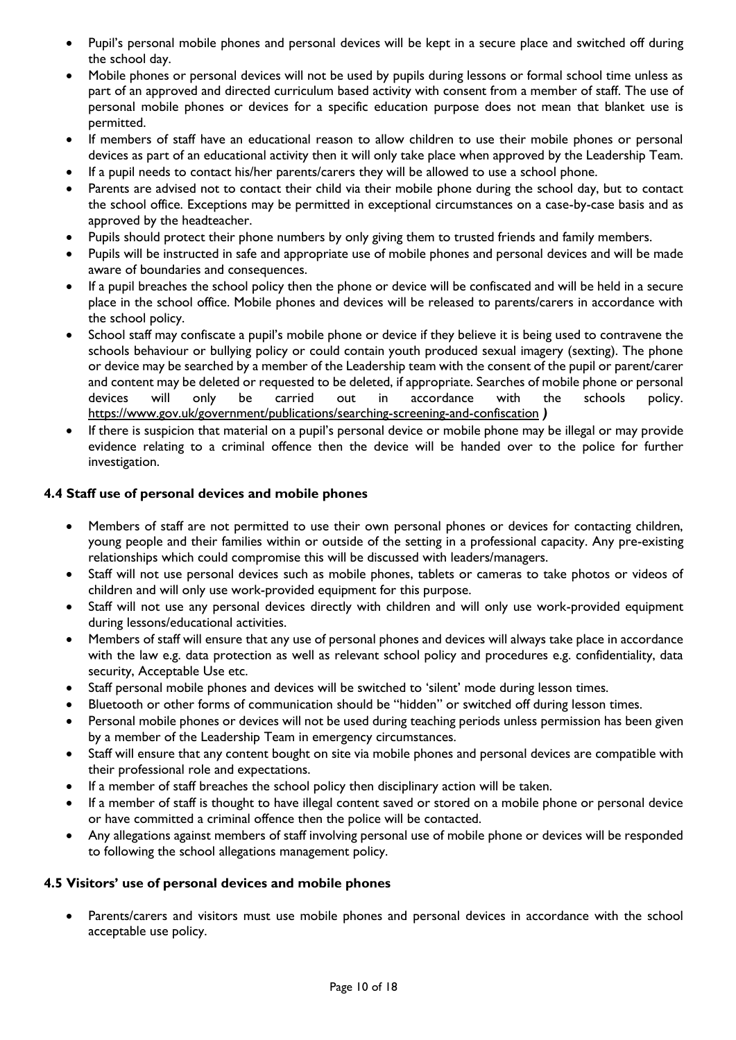- Pupil's personal mobile phones and personal devices will be kept in a secure place and switched off during the school day.
- Mobile phones or personal devices will not be used by pupils during lessons or formal school time unless as part of an approved and directed curriculum based activity with consent from a member of staff. The use of personal mobile phones or devices for a specific education purpose does not mean that blanket use is permitted.
- If members of staff have an educational reason to allow children to use their mobile phones or personal devices as part of an educational activity then it will only take place when approved by the Leadership Team.
- If a pupil needs to contact his/her parents/carers they will be allowed to use a school phone.
- Parents are advised not to contact their child via their mobile phone during the school day, but to contact the school office. Exceptions may be permitted in exceptional circumstances on a case-by-case basis and as approved by the headteacher.
- Pupils should protect their phone numbers by only giving them to trusted friends and family members.
- Pupils will be instructed in safe and appropriate use of mobile phones and personal devices and will be made aware of boundaries and consequences.
- If a pupil breaches the school policy then the phone or device will be confiscated and will be held in a secure place in the school office. Mobile phones and devices will be released to parents/carers in accordance with the school policy.
- School staff may confiscate a pupil's mobile phone or device if they believe it is being used to contravene the schools behaviour or bullying policy or could contain youth produced sexual imagery (sexting). The phone or device may be searched by a member of the Leadership team with the consent of the pupil or parent/carer and content may be deleted or requested to be deleted, if appropriate. Searches of mobile phone or personal devices will only be carried out in accordance with the schools policy. <https://www.gov.uk/government/publications/searching-screening-and-confiscation> *)*
- If there is suspicion that material on a pupil's personal device or mobile phone may be illegal or may provide evidence relating to a criminal offence then the device will be handed over to the police for further investigation.

## **4.4 Staff use of personal devices and mobile phones**

- Members of staff are not permitted to use their own personal phones or devices for contacting children, young people and their families within or outside of the setting in a professional capacity. Any pre-existing relationships which could compromise this will be discussed with leaders/managers.
- Staff will not use personal devices such as mobile phones, tablets or cameras to take photos or videos of children and will only use work-provided equipment for this purpose.
- Staff will not use any personal devices directly with children and will only use work-provided equipment during lessons/educational activities.
- Members of staff will ensure that any use of personal phones and devices will always take place in accordance with the law e.g. data protection as well as relevant school policy and procedures e.g. confidentiality, data security, Acceptable Use etc.
- Staff personal mobile phones and devices will be switched to 'silent' mode during lesson times.
- Bluetooth or other forms of communication should be "hidden" or switched off during lesson times.
- Personal mobile phones or devices will not be used during teaching periods unless permission has been given by a member of the Leadership Team in emergency circumstances.
- Staff will ensure that any content bought on site via mobile phones and personal devices are compatible with their professional role and expectations.
- If a member of staff breaches the school policy then disciplinary action will be taken.
- If a member of staff is thought to have illegal content saved or stored on a mobile phone or personal device or have committed a criminal offence then the police will be contacted.
- Any allegations against members of staff involving personal use of mobile phone or devices will be responded to following the school allegations management policy.

## **4.5 Visitors' use of personal devices and mobile phones**

 Parents/carers and visitors must use mobile phones and personal devices in accordance with the school acceptable use policy.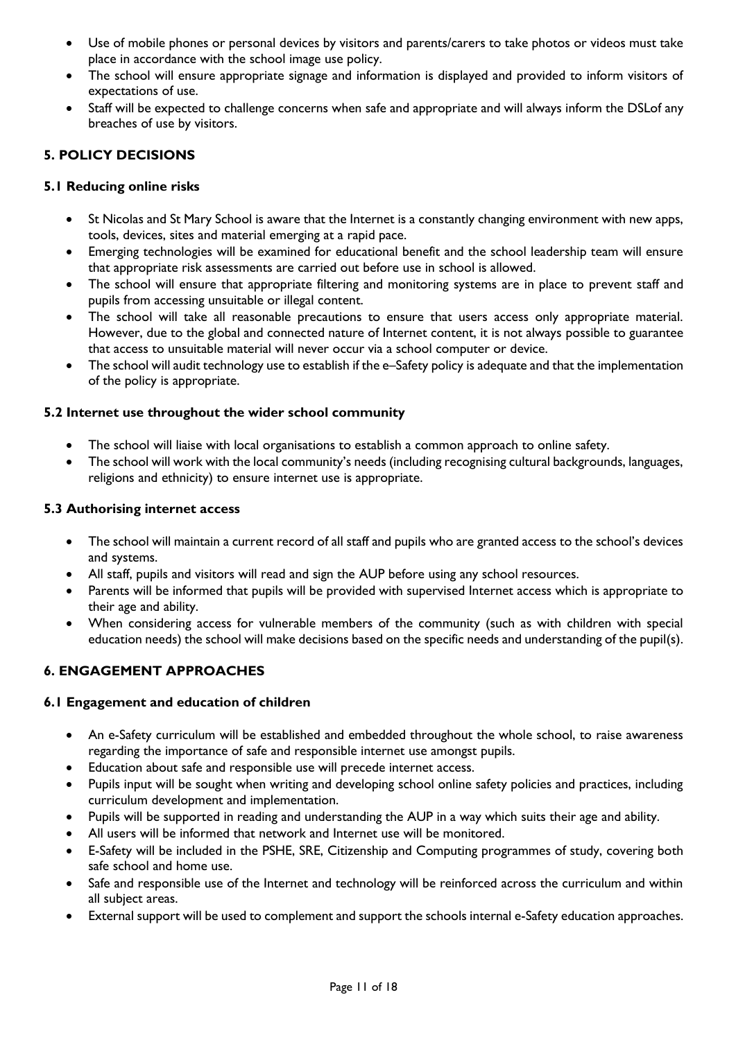- Use of mobile phones or personal devices by visitors and parents/carers to take photos or videos must take place in accordance with the school image use policy.
- The school will ensure appropriate signage and information is displayed and provided to inform visitors of expectations of use.
- Staff will be expected to challenge concerns when safe and appropriate and will always inform the DSL of any breaches of use by visitors.

## **5. POLICY DECISIONS**

## **5.1 Reducing online risks**

- St Nicolas and St Mary School is aware that the Internet is a constantly changing environment with new apps, tools, devices, sites and material emerging at a rapid pace.
- Emerging technologies will be examined for educational benefit and the school leadership team will ensure that appropriate risk assessments are carried out before use in school is allowed.
- The school will ensure that appropriate filtering and monitoring systems are in place to prevent staff and pupils from accessing unsuitable or illegal content.
- The school will take all reasonable precautions to ensure that users access only appropriate material. However, due to the global and connected nature of Internet content, it is not always possible to guarantee that access to unsuitable material will never occur via a school computer or device.
- The school will audit technology use to establish if the e–Safety policy is adequate and that the implementation of the policy is appropriate.

## **5.2 Internet use throughout the wider school community**

- The school will liaise with local organisations to establish a common approach to online safety.
- The school will work with the local community's needs (including recognising cultural backgrounds, languages, religions and ethnicity) to ensure internet use is appropriate.

## **5.3 Authorising internet access**

- The school will maintain a current record of all staff and pupils who are granted access to the school's devices and systems.
- All staff, pupils and visitors will read and sign the AUP before using any school resources.
- Parents will be informed that pupils will be provided with supervised Internet access which is appropriate to their age and ability.
- When considering access for vulnerable members of the community (such as with children with special education needs) the school will make decisions based on the specific needs and understanding of the pupil(s).

## **6. ENGAGEMENT APPROACHES**

## **6.1 Engagement and education of children**

- An e-Safety curriculum will be established and embedded throughout the whole school, to raise awareness regarding the importance of safe and responsible internet use amongst pupils.
- Education about safe and responsible use will precede internet access.
- Pupils input will be sought when writing and developing school online safety policies and practices, including curriculum development and implementation.
- Pupils will be supported in reading and understanding the AUP in a way which suits their age and ability.
- All users will be informed that network and Internet use will be monitored.
- E-Safety will be included in the PSHE, SRE, Citizenship and Computing programmes of study, covering both safe school and home use.
- Safe and responsible use of the Internet and technology will be reinforced across the curriculum and within all subject areas.
- External support will be used to complement and support the schools internal e-Safety education approaches.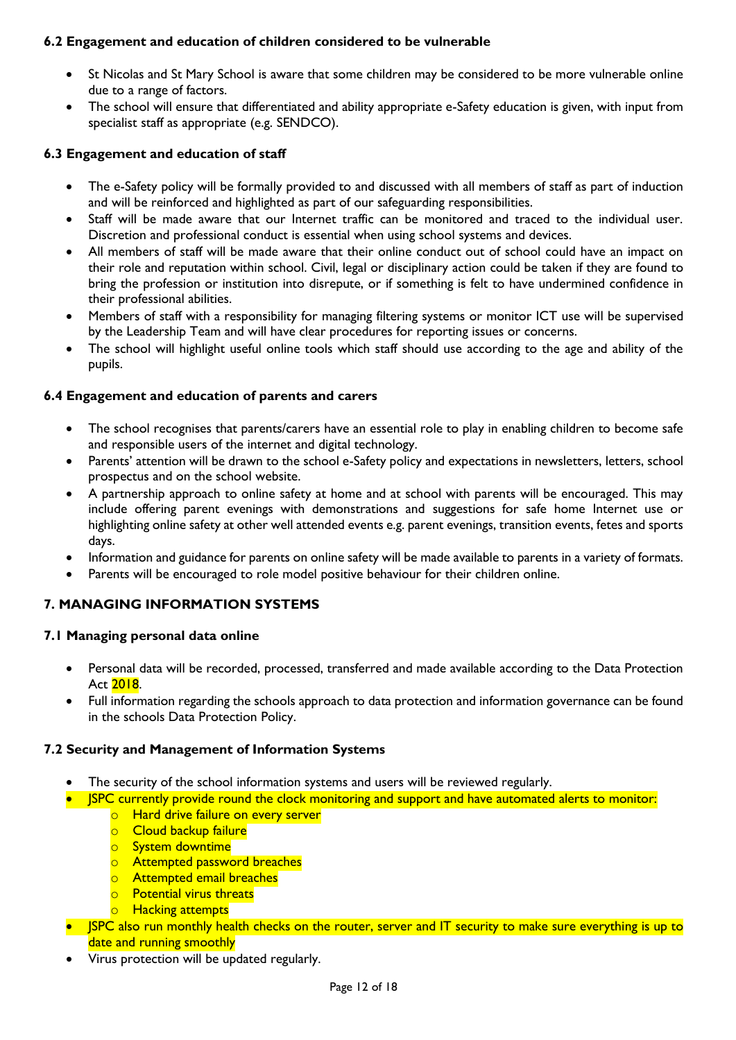## **6.2 Engagement and education of children considered to be vulnerable**

- St Nicolas and St Mary School is aware that some children may be considered to be more vulnerable online due to a range of factors.
- The school will ensure that differentiated and ability appropriate e-Safety education is given, with input from specialist staff as appropriate (e.g. SENDCO).

## **6.3 Engagement and education of staff**

- The e-Safety policy will be formally provided to and discussed with all members of staff as part of induction and will be reinforced and highlighted as part of our safeguarding responsibilities.
- Staff will be made aware that our Internet traffic can be monitored and traced to the individual user. Discretion and professional conduct is essential when using school systems and devices.
- All members of staff will be made aware that their online conduct out of school could have an impact on their role and reputation within school. Civil, legal or disciplinary action could be taken if they are found to bring the profession or institution into disrepute, or if something is felt to have undermined confidence in their professional abilities.
- Members of staff with a responsibility for managing filtering systems or monitor ICT use will be supervised by the Leadership Team and will have clear procedures for reporting issues or concerns.
- The school will highlight useful online tools which staff should use according to the age and ability of the pupils.

## **6.4 Engagement and education of parents and carers**

- The school recognises that parents/carers have an essential role to play in enabling children to become safe and responsible users of the internet and digital technology.
- Parents' attention will be drawn to the school e-Safety policy and expectations in newsletters, letters, school prospectus and on the school website.
- A partnership approach to online safety at home and at school with parents will be encouraged. This may include offering parent evenings with demonstrations and suggestions for safe home Internet use or highlighting online safety at other well attended events e.g. parent evenings, transition events, fetes and sports days.
- Information and guidance for parents on online safety will be made available to parents in a variety of formats.
- Parents will be encouraged to role model positive behaviour for their children online.

## **7. MANAGING INFORMATION SYSTEMS**

## **7.1 Managing personal data online**

- Personal data will be recorded, processed, transferred and made available according to the Data Protection Act 2018.
- Full information regarding the schools approach to data protection and information governance can be found in the schools Data Protection Policy.

## **7.2 Security and Management of Information Systems**

- The security of the school information systems and users will be reviewed regularly.
- ISPC currently provide round the clock monitoring and support and have automated alerts to monitor:
	- o Hard drive failure on every server
	- o Cloud backup failure
	- o System downtime
	- o Attempted password breaches
	- o Attempted email breaches
	- o Potential virus threats
	- o Hacking attempts
- **ISPC** also run monthly health checks on the router, server and IT security to make sure everything is up to date and running smoothly
- Virus protection will be updated regularly.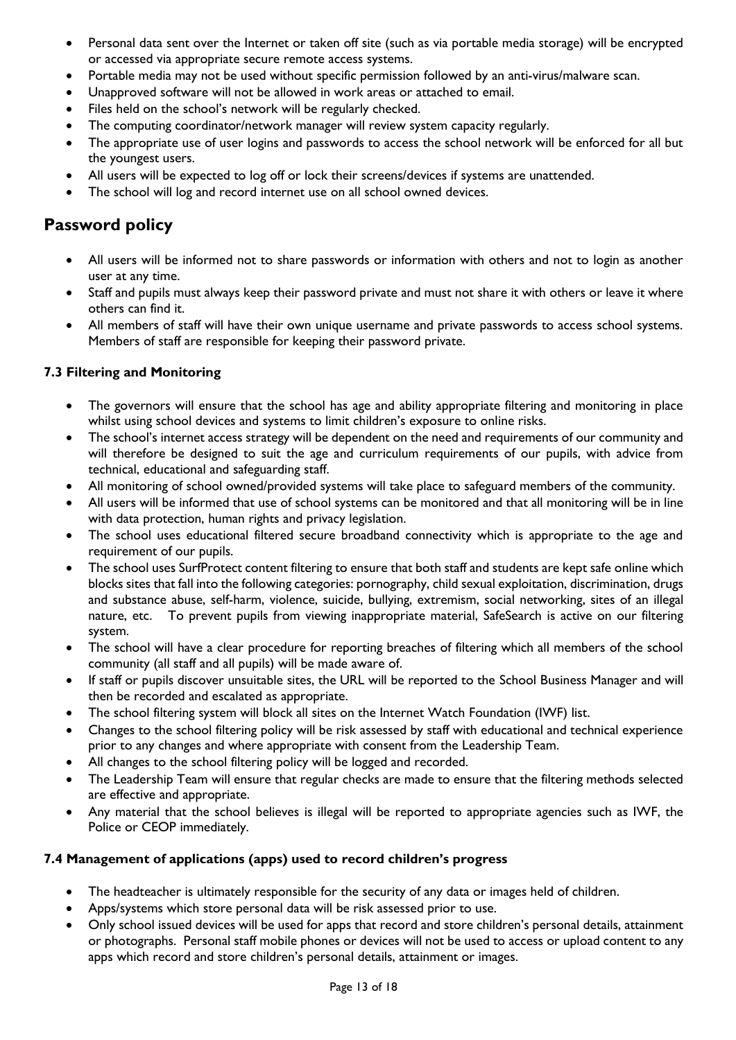- Personal data sent over the Internet or taken off site (such as via portable media storage) will be encrypted or accessed via appropriate secure remote access systems.
- Portable media may not be used without specific permission followed by an anti-virus/malware scan.
- Unapproved software will not be allowed in work areas or attached to email.
- Files held on the school's network will be regularly checked.
- The computing coordinator/network manager will review system capacity regularly.
- The appropriate use of user logins and passwords to access the school network will be enforced for all but the youngest users.
- All users will be expected to log off or lock their screens/devices if systems are unattended.
- The school will log and record internet use on all school owned devices.

# **Password policy**

- All users will be informed not to share passwords or information with others and not to login as another user at any time.
- Staff and pupils must always keep their password private and must not share it with others or leave it where others can find it.
- All members of staff will have their own unique username and private passwords to access school systems. Members of staff are responsible for keeping their password private.

## **7.3 Filtering and Monitoring**

- The governors will ensure that the school has age and ability appropriate filtering and monitoring in place whilst using school devices and systems to limit children's exposure to online risks.
- The school's internet access strategy will be dependent on the need and requirements of our community and will therefore be designed to suit the age and curriculum requirements of our pupils, with advice from technical, educational and safeguarding staff.
- All monitoring of school owned/provided systems will take place to safeguard members of the community.
- All users will be informed that use of school systems can be monitored and that all monitoring will be in line with data protection, human rights and privacy legislation.
- The school uses educational filtered secure broadband connectivity which is appropriate to the age and requirement of our pupils.
- The school uses SurfProtect content filtering to ensure that both staff and students are kept safe online which blocks sites that fall into the following categories: pornography, child sexual exploitation, discrimination, drugs and substance abuse, self-harm, violence, suicide, bullying, extremism, social networking, sites of an illegal nature, etc. To prevent pupils from viewing inappropriate material, SafeSearch is active on our filtering system.
- The school will have a clear procedure for reporting breaches of filtering which all members of the school community (all staff and all pupils) will be made aware of.
- If staff or pupils discover unsuitable sites, the URL will be reported to the School Business Manager and will then be recorded and escalated as appropriate.
- The school filtering system will block all sites on the Internet Watch Foundation (IWF) list.
- Changes to the school filtering policy will be risk assessed by staff with educational and technical experience prior to any changes and where appropriate with consent from the Leadership Team.
- All changes to the school filtering policy will be logged and recorded.
- The Leadership Team will ensure that regular checks are made to ensure that the filtering methods selected are effective and appropriate.
- Any material that the school believes is illegal will be reported to appropriate agencies such as IWF, the Police or CEOP immediately.

## **7.4 Management of applications (apps) used to record children's progress**

- The headteacher is ultimately responsible for the security of any data or images held of children.
- Apps/systems which store personal data will be risk assessed prior to use.
- Only school issued devices will be used for apps that record and store children's personal details, attainment or photographs. Personal staff mobile phones or devices will not be used to access or upload content to any apps which record and store children's personal details, attainment or images.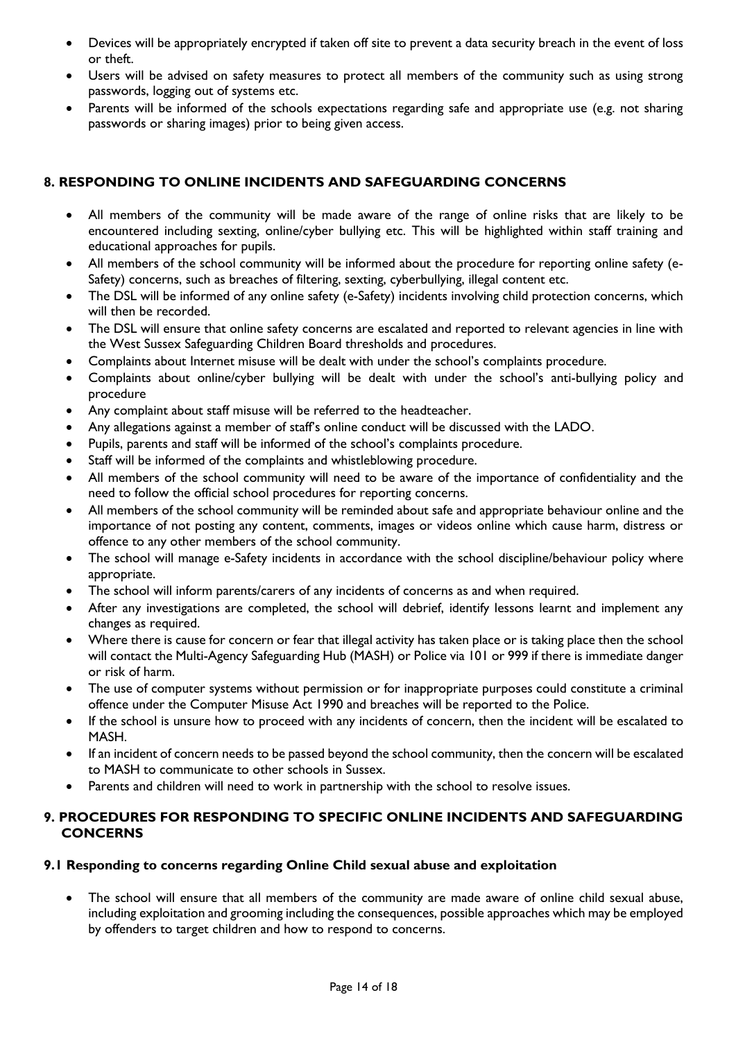- Devices will be appropriately encrypted if taken off site to prevent a data security breach in the event of loss or theft.
- Users will be advised on safety measures to protect all members of the community such as using strong passwords, logging out of systems etc.
- Parents will be informed of the schools expectations regarding safe and appropriate use (e.g. not sharing passwords or sharing images) prior to being given access.

## **8. RESPONDING TO ONLINE INCIDENTS AND SAFEGUARDING CONCERNS**

- All members of the community will be made aware of the range of online risks that are likely to be encountered including sexting, online/cyber bullying etc. This will be highlighted within staff training and educational approaches for pupils.
- All members of the school community will be informed about the procedure for reporting online safety (e-Safety) concerns, such as breaches of filtering, sexting, cyberbullying, illegal content etc.
- The DSL will be informed of any online safety (e-Safety) incidents involving child protection concerns, which will then be recorded.
- The DSL will ensure that online safety concerns are escalated and reported to relevant agencies in line with the West Sussex Safeguarding Children Board thresholds and procedures.
- Complaints about Internet misuse will be dealt with under the school's complaints procedure.
- Complaints about online/cyber bullying will be dealt with under the school's anti-bullying policy and procedure
- Any complaint about staff misuse will be referred to the headteacher.
- Any allegations against a member of staff's online conduct will be discussed with the LADO.
- Pupils, parents and staff will be informed of the school's complaints procedure.
- Staff will be informed of the complaints and whistleblowing procedure.
- All members of the school community will need to be aware of the importance of confidentiality and the need to follow the official school procedures for reporting concerns.
- All members of the school community will be reminded about safe and appropriate behaviour online and the importance of not posting any content, comments, images or videos online which cause harm, distress or offence to any other members of the school community.
- The school will manage e-Safety incidents in accordance with the school discipline/behaviour policy where appropriate.
- The school will inform parents/carers of any incidents of concerns as and when required.
- After any investigations are completed, the school will debrief, identify lessons learnt and implement any changes as required.
- Where there is cause for concern or fear that illegal activity has taken place or is taking place then the school will contact the Multi-Agency Safeguarding Hub (MASH) or Police via 101 or 999 if there is immediate danger or risk of harm.
- The use of computer systems without permission or for inappropriate purposes could constitute a criminal offence under the Computer Misuse Act 1990 and breaches will be reported to the Police.
- If the school is unsure how to proceed with any incidents of concern, then the incident will be escalated to MASH.
- If an incident of concern needs to be passed beyond the school community, then the concern will be escalated to MASH to communicate to other schools in Sussex.
- Parents and children will need to work in partnership with the school to resolve issues.

## **9. PROCEDURES FOR RESPONDING TO SPECIFIC ONLINE INCIDENTS AND SAFEGUARDING CONCERNS**

## **9.1 Responding to concerns regarding Online Child sexual abuse and exploitation**

 The school will ensure that all members of the community are made aware of online child sexual abuse, including exploitation and grooming including the consequences, possible approaches which may be employed by offenders to target children and how to respond to concerns.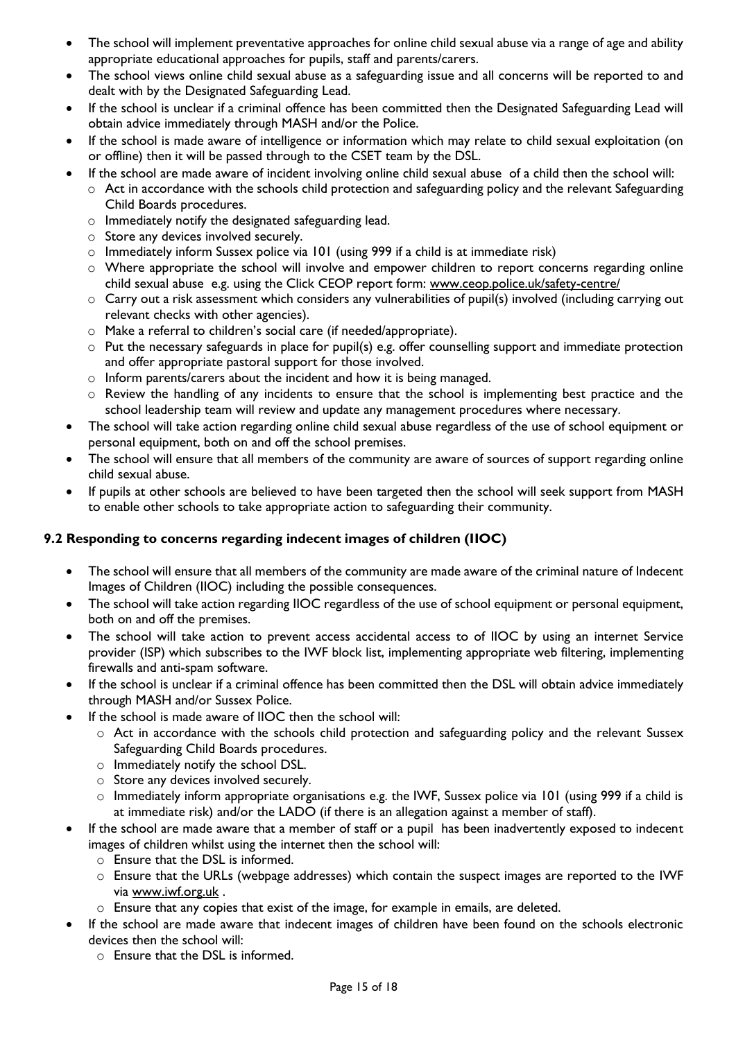- The school will implement preventative approaches for online child sexual abuse via a range of age and ability appropriate educational approaches for pupils, staff and parents/carers.
- The school views online child sexual abuse as a safeguarding issue and all concerns will be reported to and dealt with by the Designated Safeguarding Lead.
- If the school is unclear if a criminal offence has been committed then the Designated Safeguarding Lead will obtain advice immediately through MASH and/or the Police.
- If the school is made aware of intelligence or information which may relate to child sexual exploitation (on or offline) then it will be passed through to the CSET team by the DSL.
- If the school are made aware of incident involving online child sexual abuse of a child then the school will:
	- o Act in accordance with the schools child protection and safeguarding policy and the relevant Safeguarding Child Boards procedures.
	- o Immediately notify the designated safeguarding lead.
	- o Store any devices involved securely.
	- $\circ$  Immediately inform Sussex police via 101 (using 999 if a child is at immediate risk)
	- o Where appropriate the school will involve and empower children to report concerns regarding online child sexual abuse e.g. using the Click CEOP report form: [www.ceop.police.uk/safety-centre/](http://www.ceop.police.uk/safety-centre/)
	- $\circ$  Carry out a risk assessment which considers any vulnerabilities of pupil(s) involved (including carrying out relevant checks with other agencies).
	- o Make a referral to children's social care (if needed/appropriate).
	- $\circ$  Put the necessary safeguards in place for pupil(s) e.g. offer counselling support and immediate protection and offer appropriate pastoral support for those involved.
	- o Inform parents/carers about the incident and how it is being managed.
	- o Review the handling of any incidents to ensure that the school is implementing best practice and the school leadership team will review and update any management procedures where necessary.
- The school will take action regarding online child sexual abuse regardless of the use of school equipment or personal equipment, both on and off the school premises.
- The school will ensure that all members of the community are aware of sources of support regarding online child sexual abuse.
- If pupils at other schools are believed to have been targeted then the school will seek support from MASH to enable other schools to take appropriate action to safeguarding their community.

## **9.2 Responding to concerns regarding indecent images of children (IIOC)**

- The school will ensure that all members of the community are made aware of the criminal nature of Indecent Images of Children (IIOC) including the possible consequences.
- The school will take action regarding IIOC regardless of the use of school equipment or personal equipment, both on and off the premises.
- The school will take action to prevent access accidental access to of IIOC by using an internet Service provider (ISP) which subscribes to the IWF block list, implementing appropriate web filtering, implementing firewalls and anti-spam software.
- If the school is unclear if a criminal offence has been committed then the DSL will obtain advice immediately through MASH and/or Sussex Police.
- If the school is made aware of IIOC then the school will:
	- o Act in accordance with the schools child protection and safeguarding policy and the relevant Sussex Safeguarding Child Boards procedures.
	- o Immediately notify the school DSL.
	- o Store any devices involved securely.
	- o Immediately inform appropriate organisations e.g. the IWF, Sussex police via 101 (using 999 if a child is at immediate risk) and/or the LADO (if there is an allegation against a member of staff).
- If the school are made aware that a member of staff or a pupil has been inadvertently exposed to indecent images of children whilst using the internet then the school will:
	- $\circ$  Ensure that the DSL is informed.
	- o Ensure that the URLs (webpage addresses) which contain the suspect images are reported to the IWF via [www.iwf.org.uk](https://www.iwf.org.uk/) .
	- o Ensure that any copies that exist of the image, for example in emails, are deleted.
- If the school are made aware that indecent images of children have been found on the schools electronic devices then the school will:
	- o Ensure that the DSL is informed.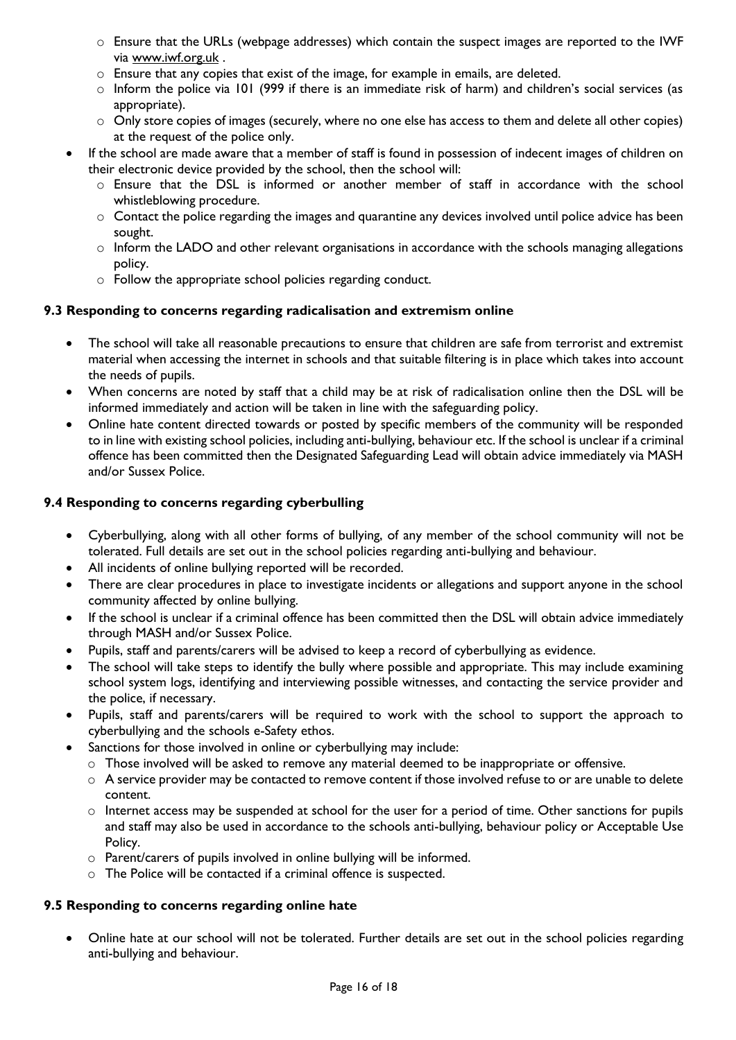- o Ensure that the URLs (webpage addresses) which contain the suspect images are reported to the IWF via [www.iwf.org.uk](https://www.iwf.org.uk/) .
- o Ensure that any copies that exist of the image, for example in emails, are deleted.
- $\circ$  Inform the police via 101 (999 if there is an immediate risk of harm) and children's social services (as appropriate).
- $\circ$  Only store copies of images (securely, where no one else has access to them and delete all other copies) at the request of the police only.
- If the school are made aware that a member of staff is found in possession of indecent images of children on their electronic device provided by the school, then the school will:
	- $\circ$  Ensure that the DSL is informed or another member of staff in accordance with the school whistleblowing procedure.
	- o Contact the police regarding the images and quarantine any devices involved until police advice has been sought.
	- $\circ$  Inform the LADO and other relevant organisations in accordance with the schools managing allegations policy.
	- o Follow the appropriate school policies regarding conduct.

## **9.3 Responding to concerns regarding radicalisation and extremism online**

- The school will take all reasonable precautions to ensure that children are safe from terrorist and extremist material when accessing the internet in schools and that suitable filtering is in place which takes into account the needs of pupils.
- When concerns are noted by staff that a child may be at risk of radicalisation online then the DSL will be informed immediately and action will be taken in line with the safeguarding policy.
- Online hate content directed towards or posted by specific members of the community will be responded to in line with existing school policies, including anti-bullying, behaviour etc. If the school is unclear if a criminal offence has been committed then the Designated Safeguarding Lead will obtain advice immediately via MASH and/or Sussex Police.

## **9.4 Responding to concerns regarding cyberbulling**

- Cyberbullying, along with all other forms of bullying, of any member of the school community will not be tolerated. Full details are set out in the school policies regarding anti-bullying and behaviour.
- All incidents of online bullying reported will be recorded.
- There are clear procedures in place to investigate incidents or allegations and support anyone in the school community affected by online bullying.
- If the school is unclear if a criminal offence has been committed then the DSL will obtain advice immediately through MASH and/or Sussex Police.
- Pupils, staff and parents/carers will be advised to keep a record of cyberbullying as evidence.
- The school will take steps to identify the bully where possible and appropriate. This may include examining school system logs, identifying and interviewing possible witnesses, and contacting the service provider and the police, if necessary.
- Pupils, staff and parents/carers will be required to work with the school to support the approach to cyberbullying and the schools e-Safety ethos.
- Sanctions for those involved in online or cyberbullying may include:
	- o Those involved will be asked to remove any material deemed to be inappropriate or offensive.
	- o A service provider may be contacted to remove content if those involved refuse to or are unable to delete content.
	- $\circ$  Internet access may be suspended at school for the user for a period of time. Other sanctions for pupils and staff may also be used in accordance to the schools anti-bullying, behaviour policy or Acceptable Use Policy.
	- o Parent/carers of pupils involved in online bullying will be informed.
	- o The Police will be contacted if a criminal offence is suspected.

#### **9.5 Responding to concerns regarding online hate**

 Online hate at our school will not be tolerated. Further details are set out in the school policies regarding anti-bullying and behaviour.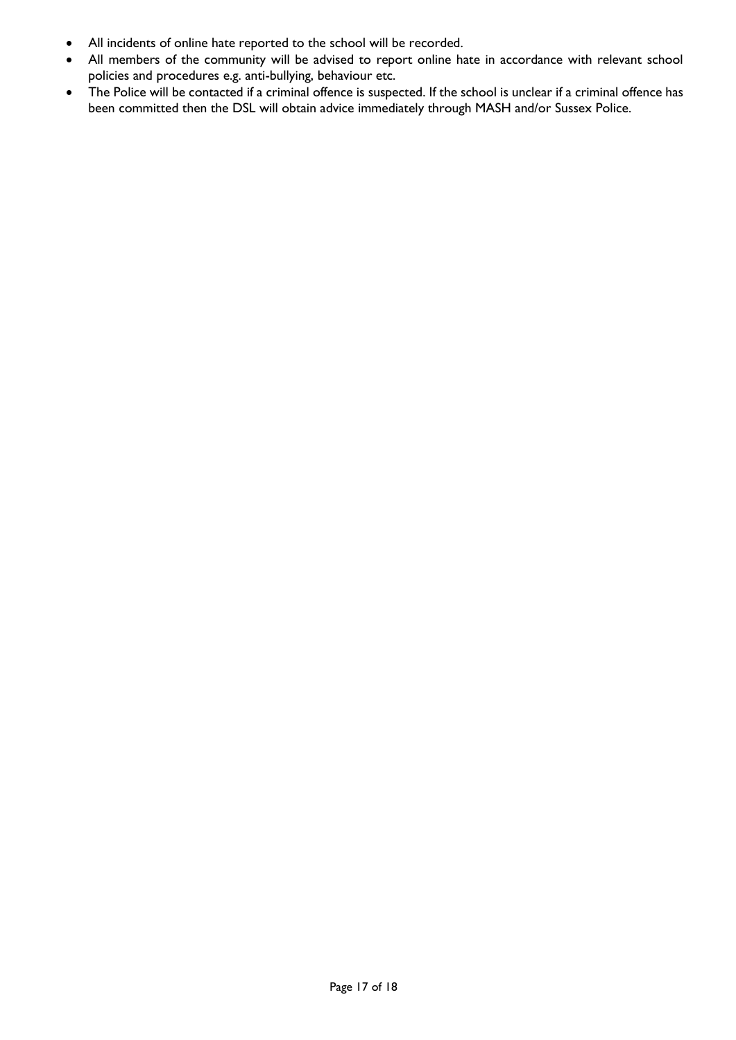- All incidents of online hate reported to the school will be recorded.
- All members of the community will be advised to report online hate in accordance with relevant school policies and procedures e.g. anti-bullying, behaviour etc.
- The Police will be contacted if a criminal offence is suspected. If the school is unclear if a criminal offence has been committed then the DSL will obtain advice immediately through MASH and/or Sussex Police.